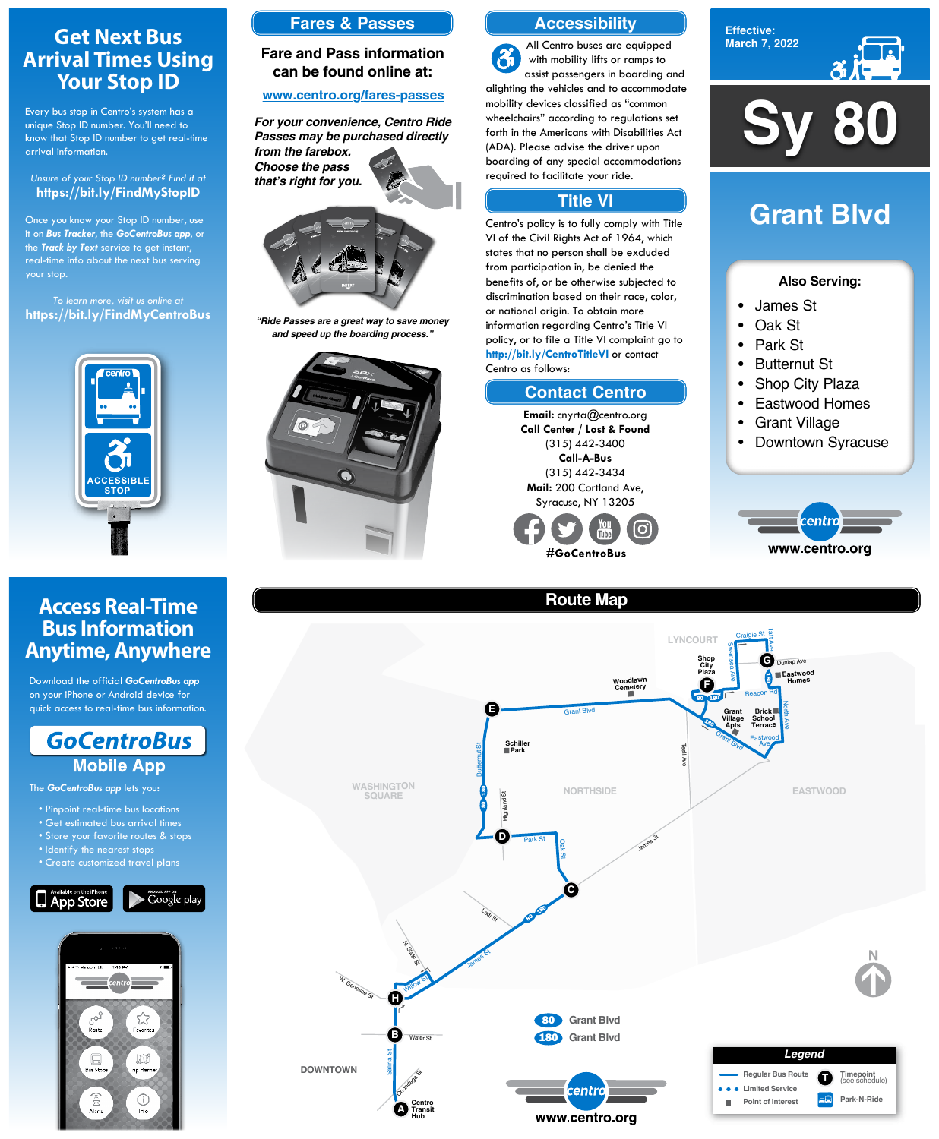#### **Effective: March 7, 2022**



### **Also Serving:**

- James St
- Oak St
- Park St
- Butternut St
- Shop City Plaza
- Eastwood Homes
- Grant Village
- Downtown Syracuse



# **Grant Blvd**

**Sy 80**

**WASHINGTON SQUARE**



# **Route Map**





- Pinpoint real-time bus locations
- Get estimated bus arrival times
- Store your favorite routes & st

# **Get Next Bus Arrival Times Using Your Stop ID**

Every bus stop in Centro's system has a unique Stop ID number. You'll need to know that Stop ID number to get real-time arrival information.

### *Unsure of your Stop ID number? Find it at* **https://bit.ly/FindMyStopID**

Once you know your Stop ID number, use it on *Bus Tracker*, the *GoCentroBus app*, or the *Track by Text* service to get instant, real-time info about the next bus serving your stop.

*To learn more, visit us online at* **https://bit.ly/FindMyCentroBus**



# **Access Real-Time Bus Information Anytime, Anywhere**

Download the official *GoCentroBus app* on your iPhone or Android device for quick access to real-time bus information.



The *GoCentroBus app* lets you:

- Identify the nearest stops
- Create customized travel plans





# **Accessibility**

## **Contact Centro**

## **Title VI**

All Centro buses are equipped  $\mathfrak{F}$ with mobility lifts or ramps to assist passengers in boarding and alighting the vehicles and to accommodate mobility devices classified as "common wheelchairs" according to regulations set forth in the Americans with Disabilities Act (ADA). Please advise the driver upon boarding of any special accommodations required to facilitate your ride.

Centro's policy is to fully comply with Title VI of the Civil Rights Act of 1964, which states that no person shall be excluded from participation in, be denied the benefits of, or be otherwise subjected to discrimination based on their race, color, or national origin. To obtain more information regarding Centro's Title VI policy, or to file a Title VI complaint go to **http://bit.ly/CentroTitleVI** or contact Centro as follows:

> **Email:** cnyrta@centro.org **Call Center / Lost & Found** (315) 442-3400 **Call-A-Bus** (315) 442-3434 **Mail:** 200 Cortland Ave, Syracuse, NY 13205



## **Fares & Passes**

## **Fare and Pass information can be found online at:**

### **www.centro.org/fares-passes**



*"Ride Passes are a great way to save money and speed up the boarding process."*



*For your convenience, Centro Ride Passes may be purchased directly from the farebox. Choose the pass that's right for you.*